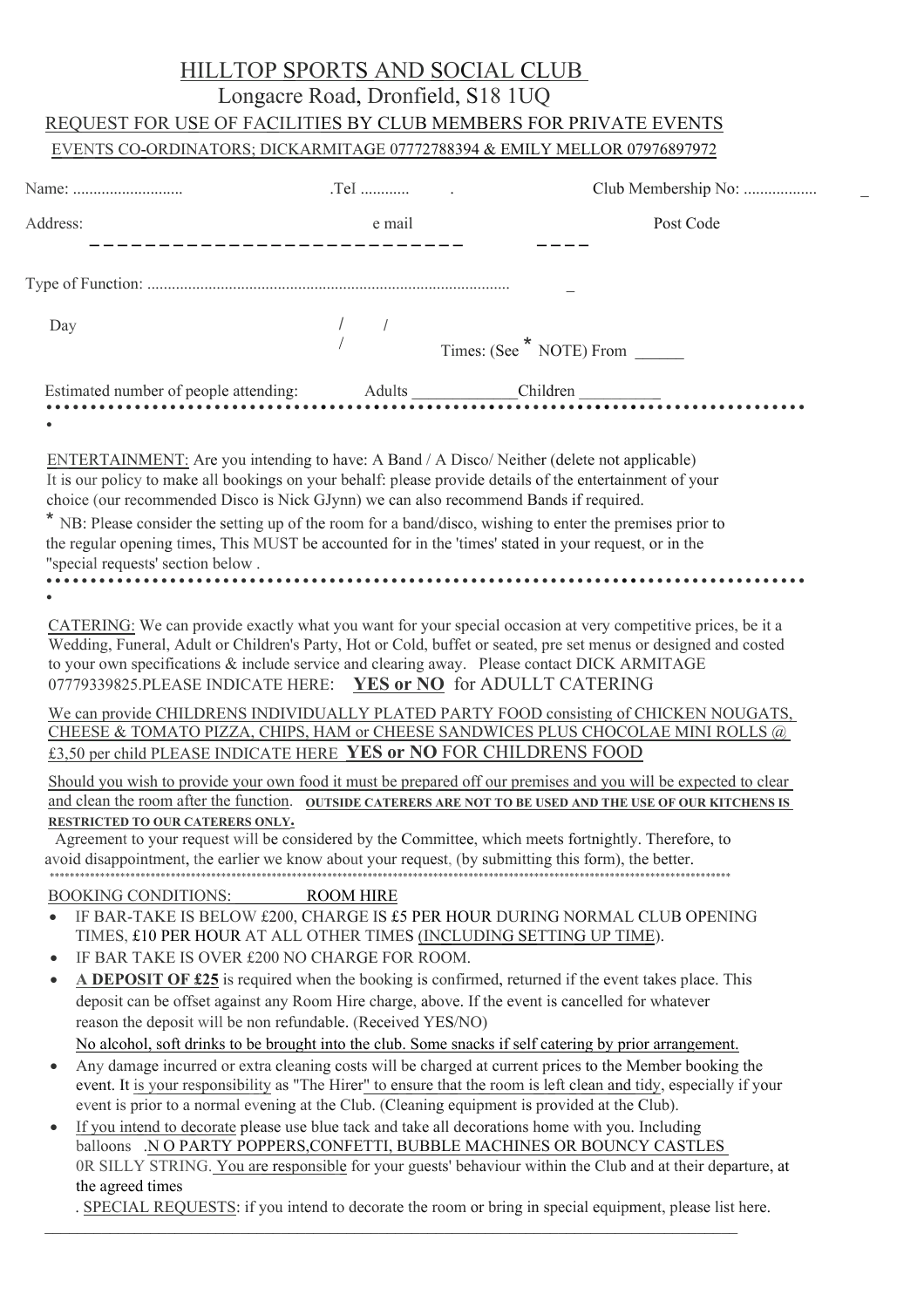## HILLTOP SPORTS AND SOCIAL CLUB

# Longacre Road, Dronfield, S18 1UQ

# REQUEST FOR USE OF FACILITIES BY CLUB MEMBERS FOR PRIVATE EVENTS

## EVENTS CO-ORDINATORS; DICKARMITAGE 07772788394 & EMILY MELLOR 07976897972

| Name:    |        |           |  |
|----------|--------|-----------|--|
| Address: | e mail | Post Code |  |
| Day      |        |           |  |
|          |        |           |  |
|          |        |           |  |

ENTERTAINMENT: Are you intending to have: A Band / A Disco/ Neither (delete not applicable) It is our policy to make all bookings on your behalf: please provide details of the entertainment of your choice (our recommended Disco is Nick GJynn) we can also recommend Bands if required.

\* NB: Please consider the setting up of the room for a band/disco, wishing to enter the premises prior to the regular opening times, This MUST be accounted for in the 'times' stated in your request, or in the "special requests' section below . **••••••••••••••••••••••••••••••••••••••••••••••••••••••••••••••••••••••••••••••••••••••**

**•** 

CATERING: We can provide exactly what you want for your special occasion at very competitive prices, be it a Wedding, Funeral, Adult or Children's Party, Hot or Cold, buffet or seated, pre set menus or designed and costed to your own specifications & include service and clearing away. Please contact DICK ARMITAGE 07779339825.PLEASE INDICATE HERE: **YES or NO** for ADULLT CATERING

### We can provide CHILDRENS INDIVIDUALLY PLATED PARTY FOOD consisting of CHICKEN NOUGATS, CHEESE & TOMATO PIZZA, CHIPS, HAM or CHEESE SANDWICES PLUS CHOCOLAE MINI ROLLS @ £3,50 per child PLEASE INDICATE HERE **YES or NO** FOR CHILDRENS FOOD

Should you wish to provide your own food it must be prepared off our premises and you will be expected to clear and clean the room after the function. **OUTSIDE CATERERS ARE NOT TO BE USED AND THE USE OF OUR KITCHENS IS RESTRICTED TO OUR CATERERS ONLY.**

Agreement to your request will be considered by the Committee, which meets fortnightly. Therefore, to avoid disappointment, the earlier we know about your request, (by submitting this form), the better.

\*\*\*\*\*\*\*\*\*\*\*\*\*\*\*\*\*\*\*\*\*\*\*\*\*\*\*\*\*\*\*\*\*\*\*\*\*\*\*\*\*\*\*\*\*\*\*\*\*\*\*\*\*\*\*\*\*\*\*\*\*\*\*\*\*\*\*\*\*\*\*\*\*\*\*\*\*\*\*\*\*\*\*\*\*\*\*\*\*\*\*\*\*\*\*\*\*\*\*\*\*\*\*\*\*\*\*\*\*\*\*\*\*\*\*\*\*\*\*\*\*\*\*\*\*\*\*\*\*\*\*\*\*\*\*

#### BOOKING CONDITIONS: ROOM HIRE

- $\bullet$  IF BAR-TAKE IS BELOW £200, CHARGE IS £5 PER HOUR DURING NORMAL CLUB OPENING TIMES, £10 PER HOUR AT ALL OTHER TIMES (INCLUDING SETTING UP TIME).
- IF BAR TAKE IS OVER £200 NO CHARGE FOR ROOM.
- **A DEPOSIT OF £25** is required when the booking is confirmed, returned if the event takes place. This deposit can be offset against any Room Hire charge, above. If the event is cancelled for whatever reason the deposit will be non refundable. (Received YES/NO) No alcohol, soft drinks to be brought into the club. Some snacks if self catering by prior arrangement.
- Any damage incurred or extra cleaning costs will be charged at current prices to the Member booking the event. It is your responsibility as "The Hirer" to ensure that the room is left clean and tidy, especially if your event is prior to a normal evening at the Club. (Cleaning equipment is provided at the Club).
- If you intend to decorate please use blue tack and take all decorations home with you. Including balloons .N O PARTY POPPERS,CONFETTI, BUBBLE MACHINES OR BOUNCY CASTLES 0R SILLY STRING. You are responsible for your guests' behaviour within the Club and at their departure, at the agreed times

. SPECIAL REQUESTS: if you intend to decorate the room or bring in special equipment, please list here.